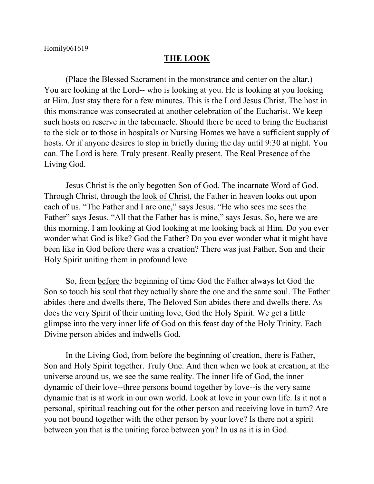## **THE LOOK**

(Place the Blessed Sacrament in the monstrance and center on the altar.) You are looking at the Lord-- who is looking at you. He is looking at you looking at Him. Just stay there for a few minutes. This is the Lord Jesus Christ. The host in this monstrance was consecrated at another celebration of the Eucharist. We keep such hosts on reserve in the tabernacle. Should there be need to bring the Eucharist to the sick or to those in hospitals or Nursing Homes we have a sufficient supply of hosts. Or if anyone desires to stop in briefly during the day until 9:30 at night. You can. The Lord is here. Truly present. Really present. The Real Presence of the Living God.

Jesus Christ is the only begotten Son of God. The incarnate Word of God. Through Christ, through the look of Christ, the Father in heaven looks out upon each of us. "The Father and I are one," says Jesus. "He who sees me sees the Father" says Jesus. "All that the Father has is mine," says Jesus. So, here we are this morning. I am looking at God looking at me looking back at Him. Do you ever wonder what God is like? God the Father? Do you ever wonder what it might have been like in God before there was a creation? There was just Father, Son and their Holy Spirit uniting them in profound love.

So, from before the beginning of time God the Father always let God the Son so touch his soul that they actually share the one and the same soul. The Father abides there and dwells there, The Beloved Son abides there and dwells there. As does the very Spirit of their uniting love, God the Holy Spirit. We get a little glimpse into the very inner life of God on this feast day of the Holy Trinity. Each Divine person abides and indwells God.

In the Living God, from before the beginning of creation, there is Father, Son and Holy Spirit together. Truly One. And then when we look at creation, at the universe around us, we see the same reality. The inner life of God, the inner dynamic of their love--three persons bound together by love--is the very same dynamic that is at work in our own world. Look at love in your own life. Is it not a personal, spiritual reaching out for the other person and receiving love in turn? Are you not bound together with the other person by your love? Is there not a spirit between you that is the uniting force between you? In us as it is in God.